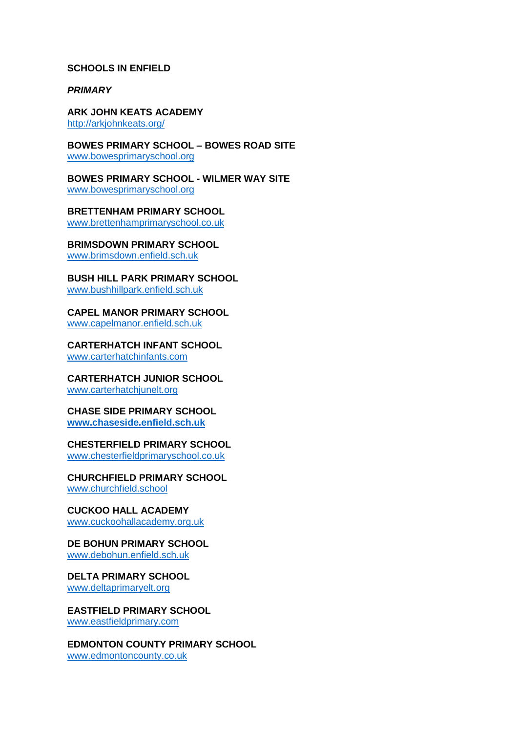#### **SCHOOLS IN ENFIELD**

*PRIMARY* 

**ARK JOHN KEATS ACADEMY**  <http://arkjohnkeats.org/>

**BOWES PRIMARY SCHOOL – BOWES ROAD SITE** 

[www.bowesprimaryschool.org](http://www.bowesprimaryschool.org/)

**BOWES PRIMARY SCHOOL - WILMER WAY SITE**  [www.bowesprimaryschool.org](http://www.bowesprimaryschool.org/)

**BRETTENHAM PRIMARY SCHOOL**  [www.brettenhamprimaryschool.co.uk](http://www.brettenhamprimaryschool.co.uk/)

**BRIMSDOWN PRIMARY SCHOOL**  [www.brimsdown.enfield.sch.uk](http://www.brimsdown.enfield.sch.uk/)

**BUSH HILL PARK PRIMARY SCHOOL**  [www.bushhillpark.enfield.sch.uk](http://www.bushhillpark.enfield.sch.uk/)

**CAPEL MANOR PRIMARY SCHOOL**  [www.capelmanor.enfield.sch.uk](http://www.capelmanor.enfield.sch.uk/)

**CARTERHATCH INFANT SCHOOL**  [www.carterhatchinfants.com](http://www.carterhatchinfants.com/)

**CARTERHATCH JUNIOR SCHOOL**  [www.carterhatchjunelt.org](http://www.carterhatchjunelt.org/)

**CHASE SIDE PRIMARY SCHOOL [www.chaseside.enfield.sch.uk](http://www.chaseside.enfield.sch.uk/)**

**CHESTERFIELD PRIMARY SCHOOL**  [www.chesterfieldprimaryschool.co.uk](http://www.chesterfieldprimaryschool.co.uk/)

**CHURCHFIELD PRIMARY SCHOOL**  [www.churchfield.school](http://www.churchfield.school/)

**CUCKOO HALL ACADEMY**  [www.cuckoohallacademy.org.uk](http://www.cuckoohallacademy.org.uk/)

**DE BOHUN PRIMARY SCHOOL**  [www.debohun.enfield.sch.uk](http://www.debohun.enfield.sch.uk/)

**DELTA PRIMARY SCHOOL**  [www.deltaprimaryelt.org](http://www.deltaprimaryelt.org/)

**EASTFIELD PRIMARY SCHOOL**  [www.eastfieldprimary.com](http://www.eastfieldprimary.com/)

**EDMONTON COUNTY PRIMARY SCHOOL**  [www.edmontoncounty.co.uk](http://www.edmontoncounty.co.uk/)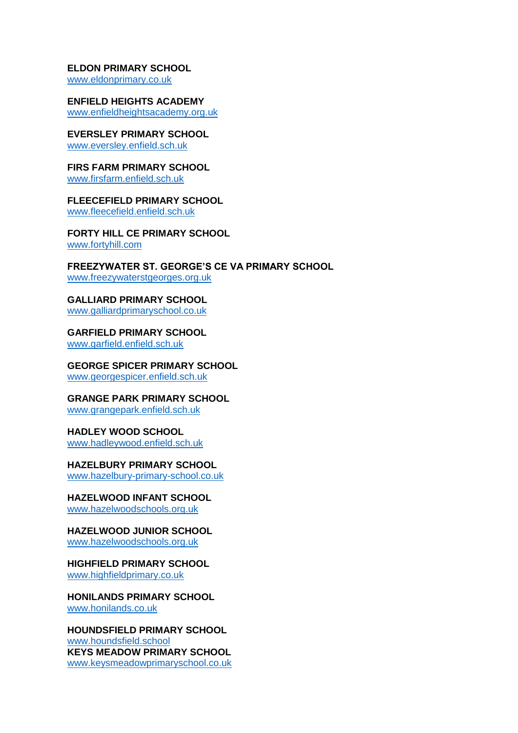#### **ELDON PRIMARY SCHOOL**

[www.eldonprimary.co.uk](http://www.eldonprimary.co.uk/)

**ENFIELD HEIGHTS ACADEMY**  [www.enfieldheightsacademy.org.uk](http://www.enfieldheightsacademy.org.uk/)

**EVERSLEY PRIMARY SCHOOL**  [www.eversley.enfield.sch.uk](http://www.eversley.enfield.sch.uk/)

**FIRS FARM PRIMARY SCHOOL**  [www.firsfarm.enfield.sch.uk](http://www.firsfarm.enfield.sch.uk/)

**FLEECEFIELD PRIMARY SCHOOL**  [www.fleecefield.enfield.sch.uk](http://www.fleecefield.enfield.sch.uk/)

**FORTY HILL CE PRIMARY SCHOOL**  [www.fortyhill.com](http://www.fortyhill.com/)

**FREEZYWATER ST. GEORGE'S CE VA PRIMARY SCHOOL**  [www.freezywaterstgeorges.org.uk](http://www.freezywaterstgeorges.org.uk/)

**GALLIARD PRIMARY SCHOOL**  [www.galliardprimaryschool.co.uk](http://www.galliardprimaryschool.co.uk/)

**GARFIELD PRIMARY SCHOOL** 

[www.garfield.enfield.sch.uk](http://www.garfield.enfield.sch.uk/)

**GEORGE SPICER PRIMARY SCHOOL**  [www.georgespicer.enfield.sch.uk](http://www.georgespicer.enfield.sch.uk/)

**GRANGE PARK PRIMARY SCHOOL**  [www.grangepark.enfield.sch.uk](http://www.grangepark.enfield.sch.uk/)

**HADLEY WOOD SCHOOL**  [www.hadleywood.enfield.sch.uk](http://www.hadleywood.enfield.sch.uk/)

**HAZELBURY PRIMARY SCHOOL**  [www.hazelbury-primary-school.co.uk](http://www.hazelbury-primary-school.co.uk/)

**HAZELWOOD INFANT SCHOOL**  [www.hazelwoodschools.org.uk](http://www.hazelwoodschools.org.uk/)

**HAZELWOOD JUNIOR SCHOOL**  [www.hazelwoodschools.org.uk](http://www.hazelwoodschools.org.uk/)

**HIGHFIELD PRIMARY SCHOOL**  [www.highfieldprimary.co.uk](http://www.highfieldprimary.co.uk/)

**HONILANDS PRIMARY SCHOOL**  [www.honilands.co.uk](http://www.honilands.co.uk/)

**HOUNDSFIELD PRIMARY SCHOOL**  [www.houndsfield.school](http://www.houndsfield.school/) **KEYS MEADOW PRIMARY SCHOOL**  [www.keysmeadowprimaryschool.co.uk](http://www.keysmeadowprimaryschool.co.uk/)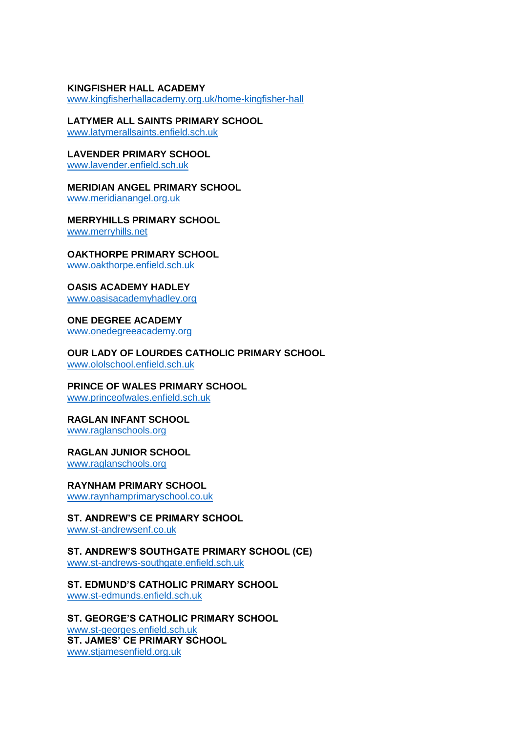### **KINGFISHER HALL ACADEMY**

[www.kingfisherhallacademy.org.uk/home-kingfisher-hall](http://www.kingfisherhallacademy.org.uk/home-kingfisher-hall)

**LATYMER ALL SAINTS PRIMARY SCHOOL**  [www.latymerallsaints.enfield.sch.uk](http://www.latymerallsaints.enfield.sch.uk/)

**LAVENDER PRIMARY SCHOOL**  [www.lavender.enfield.sch.uk](http://www.lavender.enfield.sch.uk/)

**MERIDIAN ANGEL PRIMARY SCHOOL**  [www.meridianangel.org.uk](http://www.meridianangel.org.uk/)

**MERRYHILLS PRIMARY SCHOOL**  [www.merryhills.net](http://www.merryhills.net/)

**OAKTHORPE PRIMARY SCHOOL**  [www.oakthorpe.enfield.sch.uk](http://www.oakthorpe.enfield.sch.uk/)

**OASIS ACADEMY HADLEY**  [www.oasisacademyhadley.org](http://www.oasisacademyhadley.org/)

**ONE DEGREE ACADEMY**  [www.onedegreeacademy.org](http://www.onedegreeacademy.org/)

**OUR LADY OF LOURDES CATHOLIC PRIMARY SCHOOL**  [www.ololschool.enfield.sch.uk](http://www.ololschool.enfield.sch.uk/)

**PRINCE OF WALES PRIMARY SCHOOL** 

[www.princeofwales.enfield.sch.uk](http://www.princeofwales.enfield.sch.uk/)

**RAGLAN INFANT SCHOOL**  [www.raglanschools.org](http://www.raglanschools.org/)

**RAGLAN JUNIOR SCHOOL** 

[www.raglanschools.org](http://www.raglanschools.org/)

**RAYNHAM PRIMARY SCHOOL** 

[www.raynhamprimaryschool.co.uk](http://www.raynhamprimaryschool.co.uk/)

## **ST. ANDREW'S CE PRIMARY SCHOOL**

[www.st-andrewsenf.co.uk](http://www.st-andrewsenf.co.uk/)

### **ST. ANDREW'S SOUTHGATE PRIMARY SCHOOL (CE)**

[www.st-andrews-southgate.enfield.sch.uk](http://www.st-andrews-southgate.enfield.sch.uk/)

### **ST. EDMUND'S CATHOLIC PRIMARY SCHOOL**

[www.st-edmunds.enfield.sch.uk](http://www.st-edmunds.enfield.sch.uk/)

# **ST. GEORGE'S CATHOLIC PRIMARY SCHOOL**

[www.st-georges.enfield.sch.uk](http://www.st-georges.enfield.sch.uk/) **ST. JAMES' CE PRIMARY SCHOOL**  [www.stjamesenfield.org.uk](http://www.stjamesenfield.org.uk/)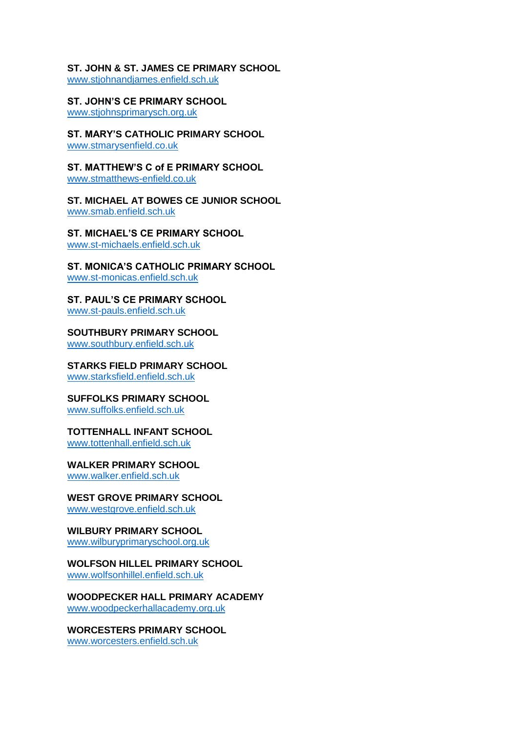# **ST. JOHN & ST. JAMES CE PRIMARY SCHOOL**

[www.stjohnandjames.enfield.sch.uk](http://www.stjohnandjames.enfield.sch.uk/)

**ST. JOHN'S CE PRIMARY SCHOOL**  [www.stjohnsprimarysch.org.uk](http://www.stjohnsprimarysch.org.uk/)

**ST. MARY'S CATHOLIC PRIMARY SCHOOL**  [www.stmarysenfield.co.uk](http://www.stmarysenfield.co.uk/)

**ST. MATTHEW'S C of E PRIMARY SCHOOL**  [www.stmatthews-enfield.co.uk](http://www.stmatthews-enfield.co.uk/)

**ST. MICHAEL AT BOWES CE JUNIOR SCHOOL**  [www.smab.enfield.sch.uk](http://www.smab.enfield.sch.uk/)

**ST. MICHAEL'S CE PRIMARY SCHOOL**  [www.st-michaels.enfield.sch.uk](http://www.st-michaels.enfield.sch.uk/)

#### **ST. MONICA'S CATHOLIC PRIMARY SCHOOL**  [www.st-monicas.enfield.sch.uk](http://www.st-monicas.enfield.sch.uk/)

**ST. PAUL'S CE PRIMARY SCHOOL**  [www.st-pauls.enfield.sch.uk](http://www.st-pauls.enfield.sch.uk/)

**SOUTHBURY PRIMARY SCHOOL**  [www.southbury.enfield.sch.uk](http://www.southbury.enfield.sch.uk/)

**STARKS FIELD PRIMARY SCHOOL**  [www.starksfield.enfield.sch.uk](http://www.starksfield.enfield.sch.uk/)

**SUFFOLKS PRIMARY SCHOOL**  [www.suffolks.enfield.sch.uk](http://www.suffolks.enfield.sch.uk/)

**TOTTENHALL INFANT SCHOOL**  [www.tottenhall.enfield.sch.uk](http://www.tottenhall.enfield.sch.uk/)

**WALKER PRIMARY SCHOOL** 

[www.walker.enfield.sch.uk](http://www.walker.enfield.sch.uk/)

**WEST GROVE PRIMARY SCHOOL**  [www.westgrove.enfield.sch.uk](http://www.westgrove.enfield.sch.uk/)

**WILBURY PRIMARY SCHOOL**  [www.wilburyprimaryschool.org.uk](http://www.wilburyprimaryschool.org.uk/)

### **WOLFSON HILLEL PRIMARY SCHOOL**  [www.wolfsonhillel.enfield.sch.uk](http://www.wolfsonhillel.enfield.sch.uk/)

**WOODPECKER HALL PRIMARY ACADEMY**  [www.woodpeckerhallacademy.org.uk](http://www.woodpeckerhallacademy.org.uk/)

**WORCESTERS PRIMARY SCHOOL**  [www.worcesters.enfield.sch.uk](http://www.worcesters.enfield.sch.uk/)